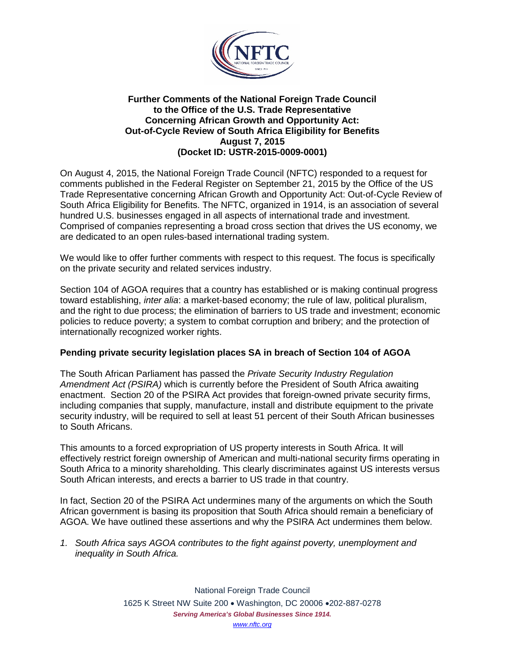

## **Further Comments of the National Foreign Trade Council to the Office of the U.S. Trade Representative Concerning African Growth and Opportunity Act: Out-of-Cycle Review of South Africa Eligibility for Benefits August 7, 2015 (Docket ID: USTR-2015-0009-0001)**

On August 4, 2015, the National Foreign Trade Council (NFTC) responded to a request for comments published in the Federal Register on September 21, 2015 by the Office of the US Trade Representative concerning African Growth and Opportunity Act: Out-of-Cycle Review of South Africa Eligibility for Benefits. The NFTC, organized in 1914, is an association of several hundred U.S. businesses engaged in all aspects of international trade and investment. Comprised of companies representing a broad cross section that drives the US economy, we are dedicated to an open rules-based international trading system.

We would like to offer further comments with respect to this request. The focus is specifically on the private security and related services industry.

Section 104 of AGOA requires that a country has established or is making continual progress toward establishing, *inter alia*: a market-based economy; the rule of law, political pluralism, and the right to due process; the elimination of barriers to US trade and investment; economic policies to reduce poverty; a system to combat corruption and bribery; and the protection of internationally recognized worker rights.

# **Pending private security legislation places SA in breach of Section 104 of AGOA**

The South African Parliament has passed the *Private Security Industry Regulation Amendment Act (PSIRA)* which is currently before the President of South Africa awaiting enactment. Section 20 of the PSIRA Act provides that foreign-owned private security firms, including companies that supply, manufacture, install and distribute equipment to the private security industry, will be required to sell at least 51 percent of their South African businesses to South Africans.

This amounts to a forced expropriation of US property interests in South Africa. It will effectively restrict foreign ownership of American and multi-national security firms operating in South Africa to a minority shareholding. This clearly discriminates against US interests versus South African interests, and erects a barrier to US trade in that country.

In fact, Section 20 of the PSIRA Act undermines many of the arguments on which the South African government is basing its proposition that South Africa should remain a beneficiary of AGOA. We have outlined these assertions and why the PSIRA Act undermines them below.

*1. South Africa says AGOA contributes to the fight against poverty, unemployment and inequality in South Africa.*

> National Foreign Trade Council 1625 K Street NW Suite 200 • Washington, DC 20006 •202-887-0278 *Serving America's Global Businesses Since 1914. [www.nftc.org](http://www.nftc.org/)*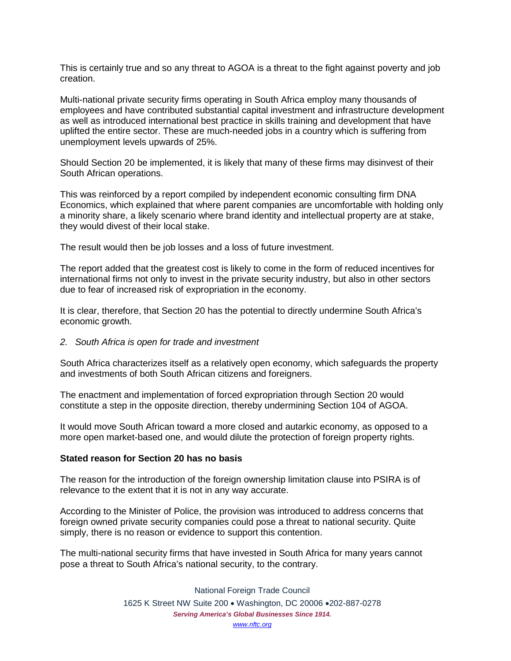This is certainly true and so any threat to AGOA is a threat to the fight against poverty and job creation.

Multi-national private security firms operating in South Africa employ many thousands of employees and have contributed substantial capital investment and infrastructure development as well as introduced international best practice in skills training and development that have uplifted the entire sector. These are much-needed jobs in a country which is suffering from unemployment levels upwards of 25%.

Should Section 20 be implemented, it is likely that many of these firms may disinvest of their South African operations.

This was reinforced by a report compiled by independent economic consulting firm DNA Economics, which explained that where parent companies are uncomfortable with holding only a minority share, a likely scenario where brand identity and intellectual property are at stake, they would divest of their local stake.

The result would then be job losses and a loss of future investment.

The report added that the greatest cost is likely to come in the form of reduced incentives for international firms not only to invest in the private security industry, but also in other sectors due to fear of increased risk of expropriation in the economy.

It is clear, therefore, that Section 20 has the potential to directly undermine South Africa's economic growth.

#### *2. South Africa is open for trade and investment*

South Africa characterizes itself as a relatively open economy, which safeguards the property and investments of both South African citizens and foreigners.

The enactment and implementation of forced expropriation through Section 20 would constitute a step in the opposite direction, thereby undermining Section 104 of AGOA.

It would move South African toward a more closed and autarkic economy, as opposed to a more open market-based one, and would dilute the protection of foreign property rights.

### **Stated reason for Section 20 has no basis**

The reason for the introduction of the foreign ownership limitation clause into PSIRA is of relevance to the extent that it is not in any way accurate.

According to the Minister of Police, the provision was introduced to address concerns that foreign owned private security companies could pose a threat to national security. Quite simply, there is no reason or evidence to support this contention.

The multi-national security firms that have invested in South Africa for many years cannot pose a threat to South Africa's national security, to the contrary.

> National Foreign Trade Council 1625 K Street NW Suite 200 • Washington, DC 20006 •202-887-0278 *Serving America's Global Businesses Since 1914. [www.nftc.org](http://www.nftc.org/)*